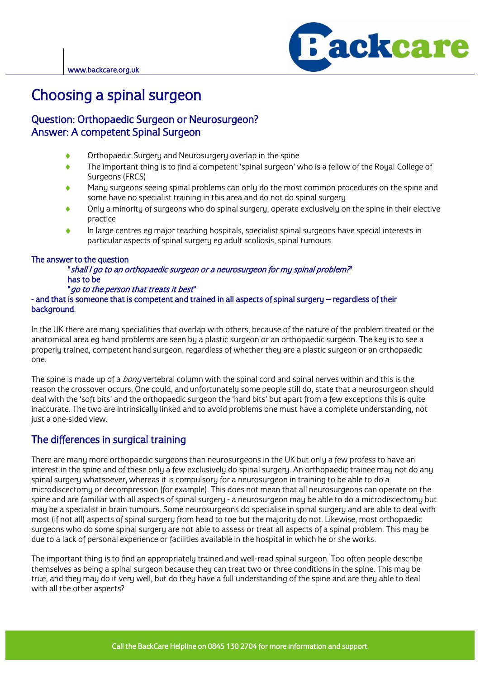

# **Choosing a spinal surgeon<br>Question: Orthopaedic Surgeon or Neurosurgeon?**

## Answer: A competent Spinal Surgeon Answer: A competent Spinal Surgeon

- $\ddot{\bullet}$
- Orthopaedic Surgery and Neurosurgery overlap in the spine<br>The important thing is to find a competent 'spinal surgeon' who is a fellow of the Royal College of  $\blacktriangle$ Surgeons (FRCS)
- Many surgeons seeing spinal problems can only do the most common procedures on the spine and some have no specialist training in this area and do not do spinal surgery
- Only a minority of surgeons who do spinal surgery, operate exclusively on the spine in their elective Only a minority of surgeons who do spinal surgery, operate exclusively on the spine in their elective
- practice<br>In large centres eg major teaching hospitals, specialist spinal surgeons have special interests in In large centres eg major teaching hospitals, specialist spinal surgeons have special interests in<br>particular aspects of spinal surgeru eg adult scoliosis, spinal tumours particular aspects of spinal surgery eg adult scoliosis, spinal tumours

The answer to the question "shall I go to an orthopaedic surgeon or a neurosurgeon for my spinal problem?" has to be<br>"*go to the person that treats it best*"

*"go to the person that treats it best"*<br>and that is someone that is competent and tra - and that is someone that is sompletent and trained in all aspects of spinal surgery – regardless of their background background.

In the UK there are many specialities that overlap with others, because of the nature of the problem treated or the<br>anatomical area eg hand problems are seen by a plastic surgeon or an orthopaedic surgeon. The key is to se properly trained, competent hand surgeon, regardless of whether they are a plastic surgeon or an orthopaedic properly trained, competent hand surgeon, regardless of whether they are a plastic surgeon or an orthopaedic one.

The spine is made up of a *bony* vertebral column with the spinal cord and spinal nerves within and this is the<br>reason the crossover occurs. One could, and unfortunately some people still do, state that a neurosurgeon shou deal with the 'soft bits' and the orthopaedic surgeon the 'hard bits' but apart from a few exceptions this is quite deal with the two are intrinsically linked and to avoid problems one must have a complete understanding not inaccurate. The two are intrinsically linked and to avoid problems one must have a complete understanding, not just a one-sided view.

## The differences in surgical training

There are many more orthopaedic surgeons than neurosurgeons in the UK but only a few profess to have an interest in the spine and of these only a few exclusively do spinal surgery. An orthopaedic trainee may not do any spinal surgery whatsoever, whereas it is compulsory for a neurosurgeon in training to be able to do a microdiscectomu or decompression (for example). This does not mean that all neurosurgeons can operate on the spine and are familiar with all aspects of spinal surgery - a neurosurgeon may be able to do a microdiscectomy but may be a specialist in brain tumours. Some neurosurgeons do specialise in spinal surgery and are able to deal with most (if not all) aspects of spinal surgery from head to toe but the majority do not. Likewise, most orthopaedic surgeons who do some spinal surgery are not able to assess or treat all aspects of a spinal problem. This may be surgeons who do some spinal surgery are not able to assess or treat all aspects of a spinal problem. This may be<br>due to a lack of personal experience or facilities available in the bospital in which he or she works due to a lack of personal experience or facilities available in the hospital in which he or she works.

The important thing is to find an appropriately trained and well-read spinal surgeon. Too often people describe<br>themselves as being a spinal surgeon because they can treat two or three conditions in the spine. This may be true, and theu mau do it veru well, but do theu have a full understanding of the spine and are theu able to deal with all the other aspects? with all the other aspects?